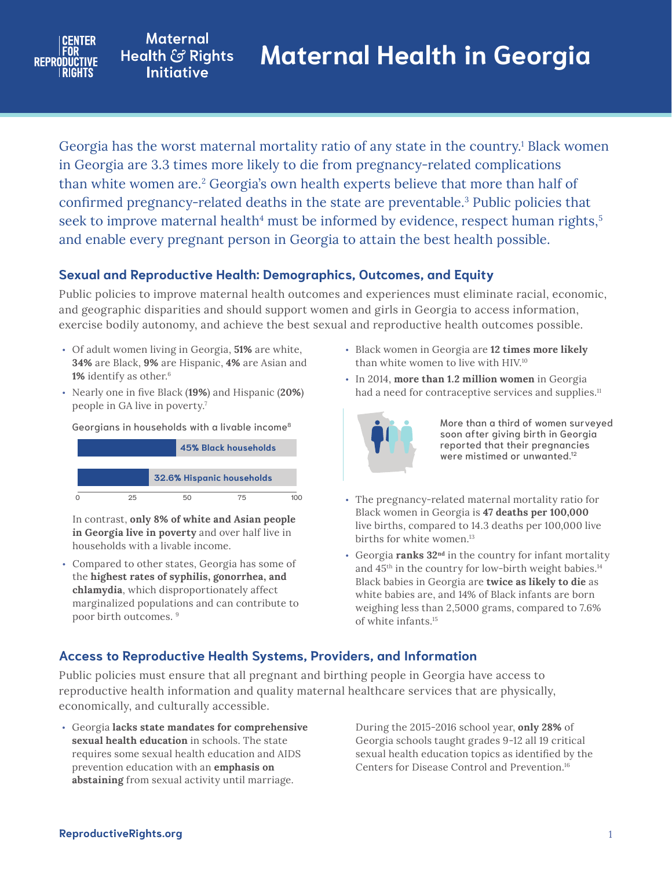

**Maternal** Health & Rights **Initiative** 

Georgia has the worst maternal mortality ratio of any state in the country.<sup>1</sup> Black women in Georgia are 3.3 times more likely to die from pregnancy-related complications than white women are.<sup>2</sup> Georgia's own health experts believe that more than half of confirmed pregnancy-related deaths in the state are preventable.<sup>3</sup> Public policies that seek to improve maternal health<sup>4</sup> must be informed by evidence, respect human rights,<sup>5</sup> and enable every pregnant person in Georgia to attain the best health possible.

# **Sexual and Reproductive Health: Demographics, Outcomes, and Equity**

Public policies to improve maternal health outcomes and experiences must eliminate racial, economic, and geographic disparities and should support women and girls in Georgia to access information, exercise bodily autonomy, and achieve the best sexual and reproductive health outcomes possible.

- Of adult women living in Georgia, **51%** are white, **34%** are Black, **9%** are Hispanic, **4%** are Asian and 1% identify as other.<sup>6</sup>
- Nearly one in five Black (**19%**) and Hispanic (**20%**) people in GA live in poverty.7

Georgians in households with a livable income8



In contrast, **only 8% of white and Asian people in Georgia live in poverty** and over half live in households with a livable income.

• Compared to other states, Georgia has some of the **highest rates of syphilis, gonorrhea, and chlamydia**, which disproportionately affect marginalized populations and can contribute to poor birth outcomes. 9

- Black women in Georgia are **12 times more likely** than white women to live with HIV.10
- had a need for contraceptive services and supplies.<sup>11</sup> • In 2014, **more than 1.2 million women** in Georgia



More than a third of women surveyed soon after giving birth in Georgia reported that their pregnancies were mistimed or unwanted.12

- The pregnancy-related maternal mortality ratio for Black women in Georgia is **47 deaths per 100,000** live births, compared to 14.3 deaths per 100,000 live births for white women.<sup>13</sup>
- Georgia **ranks 32nd** in the country for infant mortality and 45<sup>th</sup> in the country for low-birth weight babies.<sup>14</sup> Black babies in Georgia are **twice as likely to die** as white babies are, and 14% of Black infants are born weighing less than 2,5000 grams, compared to 7.6% of white infants.15

## **Access to Reproductive Health Systems, Providers, and Information**

Public policies must ensure that all pregnant and birthing people in Georgia have access to reproductive health information and quality maternal healthcare services that are physically, economically, and culturally accessible.

• Georgia **lacks state mandates for comprehensive sexual health education** in schools. The state requires some sexual health education and AIDS prevention education with an **emphasis on abstaining** from sexual activity until marriage.

During the 2015-2016 school year, **only 28%** of Georgia schools taught grades 9-12 all 19 critical sexual health education topics as identified by the Centers for Disease Control and Prevention.16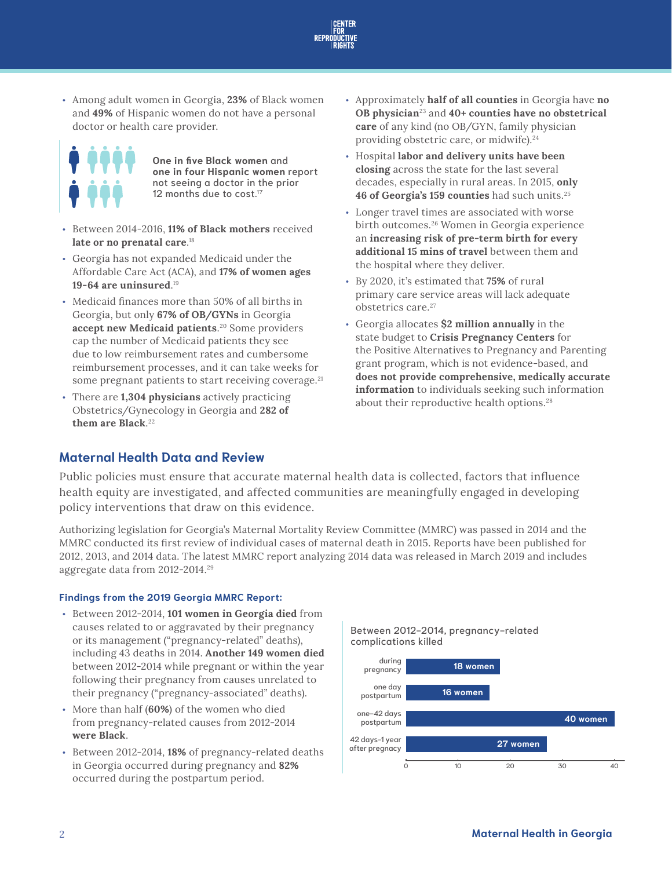

• Among adult women in Georgia, **23%** of Black women and **49%** of Hispanic women do not have a personal doctor or health care provider.



**One in five Black women** and **one in four Hispanic women** report not seeing a doctor in the prior 12 months due to cost.<sup>17</sup>

- Between 2014-2016, **11% of Black mothers** received **late or no prenatal care**. 18
- Georgia has not expanded Medicaid under the Affordable Care Act (ACA), and **17% of women ages 19-64 are uninsured**. 19
- Medicaid finances more than 50% of all births in Georgia, but only **67% of OB/GYNs** in Georgia **accept new Medicaid patients**. 20 Some providers cap the number of Medicaid patients they see due to low reimbursement rates and cumbersome reimbursement processes, and it can take weeks for some pregnant patients to start receiving coverage.<sup>21</sup>
- There are **1,304 physicians** actively practicing Obstetrics/Gynecology in Georgia and **282 of them are Black**. 22
- Approximately **half of all counties** in Georgia have **no OB physician**23 and **40+ counties have no obstetrical care** of any kind (no OB/GYN, family physician providing obstetric care, or midwife).<sup>24</sup>
- Hospital **labor and delivery units have been closing** across the state for the last several decades, especially in rural areas. In 2015, **only 46 of Georgia's 159 counties** had such units.25
- Longer travel times are associated with worse birth outcomes.<sup>26</sup> Women in Georgia experience an **increasing risk of pre-term birth for every additional 15 mins of travel** between them and the hospital where they deliver.
- By 2020, it's estimated that **75%** of rural primary care service areas will lack adequate obstetrics care.<sup>27</sup>
- Georgia allocates **\$2 million annually** in the state budget to **Crisis Pregnancy Centers** for the Positive Alternatives to Pregnancy and Parenting grant program, which is not evidence-based, and **does not provide comprehensive, medically accurate information** to individuals seeking such information about their reproductive health options.<sup>28</sup>

## **Maternal Health Data and Review**

Public policies must ensure that accurate maternal health data is collected, factors that influence health equity are investigated, and affected communities are meaningfully engaged in developing policy interventions that draw on this evidence.

Authorizing legislation for Georgia's Maternal Mortality Review Committee (MMRC) was passed in 2014 and the MMRC conducted its first review of individual cases of maternal death in 2015. Reports have been published for 2012, 2013, and 2014 data. The latest MMRC report analyzing 2014 data was released in March 2019 and includes aggregate data from 2012-2014.29

### **Findings from the 2019 Georgia MMRC Report:**

- Between 2012-2014, **101 women in Georgia died** from causes related to or aggravated by their pregnancy or its management ("pregnancy-related" deaths), including 43 deaths in 2014. **Another 149 women died** between 2012-2014 while pregnant or within the year following their pregnancy from causes unrelated to their pregnancy ("pregnancy-associated" deaths).
- More than half (**60%**) of the women who died from pregnancy-related causes from 2012-2014 **were Black**.
- Between 2012-2014, **18%** of pregnancy-related deaths in Georgia occurred during pregnancy and **82%** occurred during the postpartum period.

Between 2012-2014, pregnancy-related complications killed complications killed

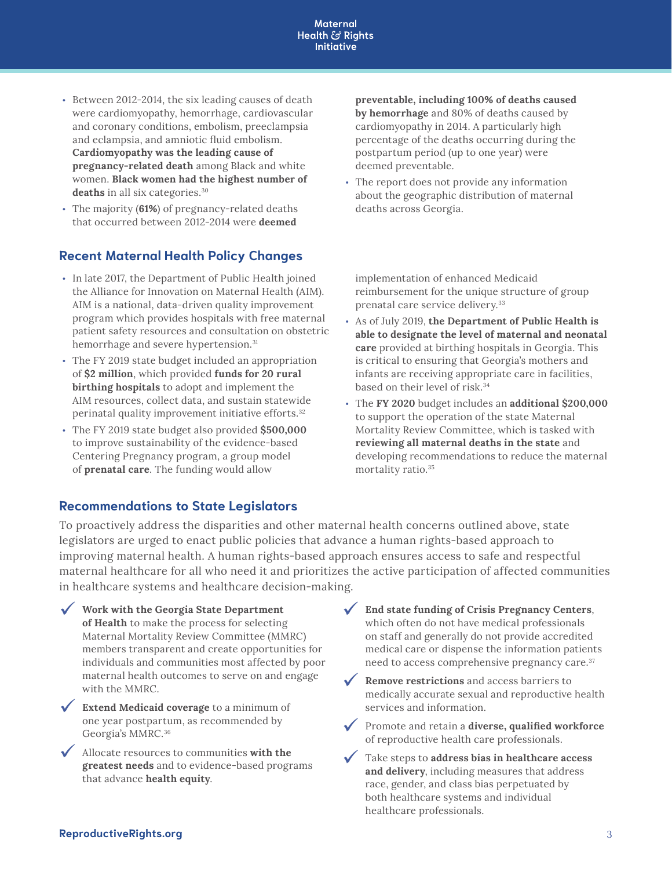#### **Maternal Health & Rights Initiative**

- Between 2012-2014, the six leading causes of death were cardiomyopathy, hemorrhage, cardiovascular and coronary conditions, embolism, preeclampsia and eclampsia, and amniotic fluid embolism. **Cardiomyopathy was the leading cause of pregnancy-related death** among Black and white women. **Black women had the highest number of deaths** in all six categories.30
- The majority (**61%**) of pregnancy-related deaths that occurred between 2012-2014 were **deemed**

# **Recent Maternal Health Policy Changes**

- In late 2017, the Department of Public Health joined the Alliance for Innovation on Maternal Health (AIM). AIM is a national, data-driven quality improvement program which provides hospitals with free maternal patient safety resources and consultation on obstetric hemorrhage and severe hypertension.<sup>31</sup>
- The FY 2019 state budget included an appropriation of **\$2 million**, which provided **funds for 20 rural birthing hospitals** to adopt and implement the AIM resources, collect data, and sustain statewide perinatal quality improvement initiative efforts.32
- The FY 2019 state budget also provided **\$500,000** to improve sustainability of the evidence-based Centering Pregnancy program, a group model of **prenatal care**. The funding would allow

## **Recommendations to State Legislators**

**preventable, including 100% of deaths caused by hemorrhage** and 80% of deaths caused by cardiomyopathy in 2014. A particularly high percentage of the deaths occurring during the postpartum period (up to one year) were deemed preventable.

• The report does not provide any information about the geographic distribution of maternal deaths across Georgia.

implementation of enhanced Medicaid reimbursement for the unique structure of group prenatal care service delivery.33

- As of July 2019, **the Department of Public Health is able to designate the level of maternal and neonatal care** provided at birthing hospitals in Georgia. This is critical to ensuring that Georgia's mothers and infants are receiving appropriate care in facilities, based on their level of risk.34
- The **FY 2020** budget includes an **additional \$200,000** to support the operation of the state Maternal Mortality Review Committee, which is tasked with **reviewing all maternal deaths in the state** and developing recommendations to reduce the maternal mortality ratio.35

To proactively address the disparities and other maternal health concerns outlined above, state legislators are urged to enact public policies that advance a human rights-based approach to improving maternal health. A human rights-based approach ensures access to safe and respectful maternal healthcare for all who need it and prioritizes the active participation of affected communities in healthcare systems and healthcare decision-making.

- 9 **Work with the Georgia State Department of Health** to make the process for selecting Maternal Mortality Review Committee (MMRC) members transparent and create opportunities for individuals and communities most affected by poor maternal health outcomes to serve on and engage with the MMRC.
- **V** Extend Medicaid coverage to a minimum of one year postpartum, as recommended by Georgia's MMRC.36
- 9 Allocate resources to communities **with the greatest needs** and to evidence-based programs that advance **health equity**.
- 9 **End state funding of Crisis Pregnancy Centers**, which often do not have medical professionals on staff and generally do not provide accredited medical care or dispense the information patients need to access comprehensive pregnancy care.<sup>37</sup>
- 9 **Remove restrictions** and access barriers to medically accurate sexual and reproductive health services and information.
- 9 Promote and retain a **diverse, qualified workforce** of reproductive health care professionals.
- 9 Take steps to **address bias in healthcare access and delivery**, including measures that address race, gender, and class bias perpetuated by both healthcare systems and individual healthcare professionals.